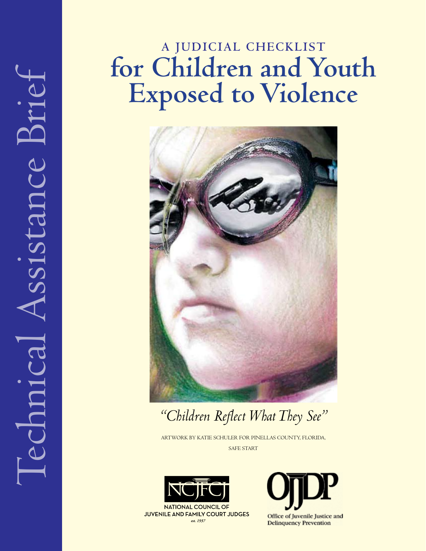# **A JUDICIAL CHECKLIST for children and Youth exposed to Violence**



*"Children Reflect What They See"* 

ARTWORK BY KATIE SCHULER FOR PINELLAS COUNTY, FLORIDA, SAFE START



**NATIONAL COUNCIL OF JUVENILE AND FAMILY COURT JUDGES** est. 1937



Office of Juvenile Justice and **Delinquency Prevention**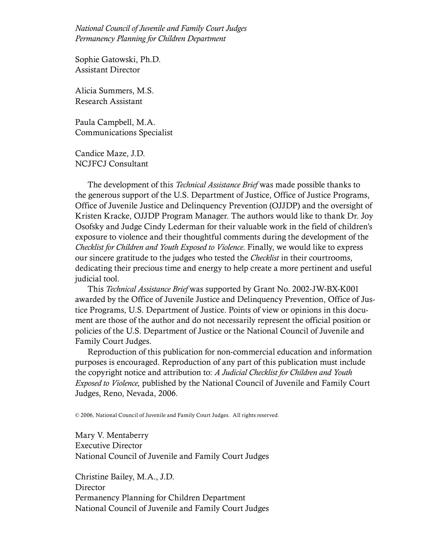*National Council of Juvenile and Family Court Judges Permanency Planning for Children Department* 

Sophie Gatowski, Ph.D. Assistant Director 

Alicia Summers, M.S. Research Assistant

Paula Campbell, M.A. Communications Specialist 

Candice Maze, J.D. NCJFCJ Consultant

The development of this *Technical Assistance Brief* was made possible thanks to the generous support of the U.S. Department of Justice, Office of Justice Programs, Office of Juvenile Justice and Delinquency Prevention (OJJDP) and the oversight of Kristen Kracke, OJJDP Program Manager. The authors would like to thank Dr. Joy Osofsky and Judge Cindy Lederman for their valuable work in the field of children's exposure to violence and their thoughtful comments during the development of the *Checklist for Children and Youth Exposed to Violence*. Finally, we would like to express our sincere gratitude to the judges who tested the *Checklist* in their courtrooms, dedicating their precious time and energy to help create a more pertinent and useful judicial tool.

This *Technical Assistance Brief* was supported by Grant No. 2002-JW-BX-K001 awarded by the Office of Juvenile Justice and Delinquency Prevention, Office of Justice Programs, U.S. Department of Justice. Points of view or opinions in this document are those of the author and do not necessarily represent the official position or policies of the U.S. Department of Justice or the National Council of Juvenile and Family Court Judges.

Reproduction of this publication for non-commercial education and information purposes is encouraged. Reproduction of any part of this publication must include the copyright notice and attribution to: *A Judicial Checklist for Children and Youth Exposed to Violence,* published by the National Council of Juvenile and Family Court Judges, Reno, Nevada, 2006.

© 2006, National Council of Juvenile and Family Court Judges. All rights reserved.

Mary V. Mentaberry Executive Director National Council of Juvenile and Family Court Judges

Christine Bailey, M.A., J.D. **Director** Permanency Planning for Children Department National Council of Juvenile and Family Court Judges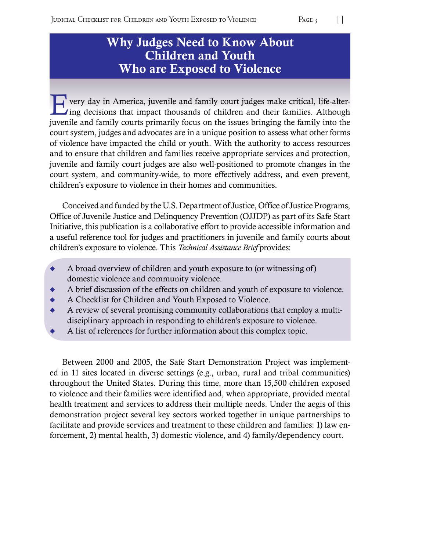# Why Judges Need to Know About Children and Youth Who are Exposed to Violence

 $\blacktriangleright$  very day in America, juvenile and family court judges make critical, life-alter- $\blacksquare$  ing decisions that impact thousands of children and their families. Although juvenile and family courts primarily focus on the issues bringing the family into the court system, judges and advocates are in a unique position to assess what other forms of violence have impacted the child or youth. With the authority to access resources and to ensure that children and families receive appropriate services and protection, juvenile and family court judges are also well-positioned to promote changes in the court system, and community-wide, to more effectively address, and even prevent, children's exposure to violence in their homes and communities.

Conceived and funded by the U.S. Department of Justice, Office of Justice Programs, Office of Juvenile Justice and Delinquency Prevention (OJJDP) as part of its Safe Start Initiative, this publication is a collaborative effort to provide accessible information and a useful reference tool for judges and practitioners in juvenile and family courts about children's exposure to violence. This *Technical Assistance Brief* provides:

- $\leftrightarrow$  A broad overview of children and youth exposure to (or witnessing of) domestic violence and community violence.
- A brief discussion of the effects on children and youth of exposure to violence.
- $\blacklozenge$  A Checklist for Children and Youth Exposed to Violence.
- A review of several promising community collaborations that employ a multidisciplinary approach in responding to children's exposure to violence.
- A list of references for further information about this complex topic.

Between 2000 and 2005, the Safe Start Demonstration Project was implemented in 11 sites located in diverse settings (e.g., urban, rural and tribal communities) throughout the United States. During this time, more than 15,500 children exposed to violence and their families were identified and, when appropriate, provided mental health treatment and services to address their multiple needs. Under the aegis of this demonstration project several key sectors worked together in unique partnerships to facilitate and provide services and treatment to these children and families: 1) law enforcement, 2) mental health, 3) domestic violence, and 4) family/dependency court.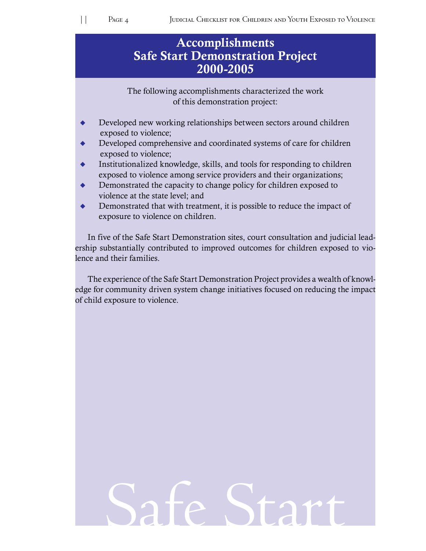# **Safe Start Demonstration Project** Accomplishments 2000-2005

of this demonstration project: The following accomplishments characterized the work

- $\blacklozenge$ Developed new working relationships between sectors around children exposed to violence;
- $\blacklozenge$ Developed comprehensive and coordinated systems of care for children exposed to violence;
- $\blacklozenge$ Institutionalized knowledge, skills, and tools for responding to children exposed to violence among service providers and their organizations;
- $\blacklozenge$ Demonstrated the capacity to change policy for children exposed to violence at the state level; and
- $\ddot{\bullet}$ Demonstrated that with treatment, it is possible to reduce the impact of exposure to violence on children.

In five of the Safe Start Demonstration sites, court consultation and judicial leadership substantially contributed to improved outcomes for children exposed to violence and their families.

The experience of the Safe Start Demonstration Project provides a wealth of knowledge for community driven system change initiatives focused on reducing the impact of child exposure to violence.

# Safe Start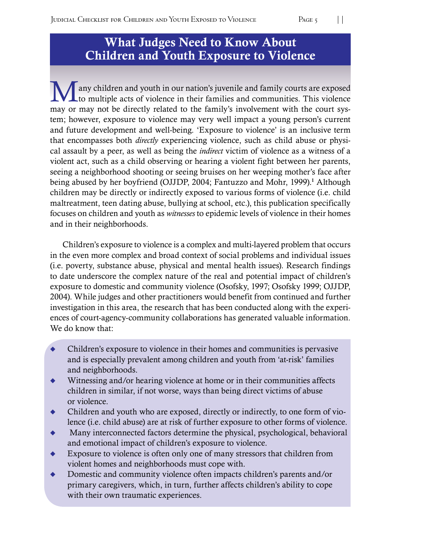# What Judges Need to Know About Children and Youth Exposure to Violence

I any children and youth in our nation's juvenile and family courts are exposed to multiple acts of violence in their families and communities. This violence may or may not be directly related to the family's involvement with the court system; however, exposure to violence may very well impact a young person's current and future development and well-being. 'Exposure to violence' is an inclusive term that encompasses both *directly* experiencing violence, such as child abuse or physical assault by a peer, as well as being the *indirect* victim of violence as a witness of a violent act, such as a child observing or hearing a violent fight between her parents, seeing a neighborhood shooting or seeing bruises on her weeping mother's face after being abused by her boyfriend (OJJDP, 2004; Fantuzzo and Mohr, 1999).<sup>1</sup> Although children may be directly or indirectly exposed to various forms of violence (i.e. child maltreatment, teen dating abuse, bullying at school, etc.), this publication specifically focuses on children and youth as *witnesses* to epidemic levels of violence in their homes and in their neighborhoods.

Children's exposure to violence is a complex and multi-layered problem that occurs in the even more complex and broad context of social problems and individual issues (i.e. poverty, substance abuse, physical and mental health issues). Research findings to date underscore the complex nature of the real and potential impact of children's exposure to domestic and community violence (Osofsky, 1997; Osofsky 1999; OJJDP, 2004). While judges and other practitioners would benefit from continued and further investigation in this area, the research that has been conducted along with the experiences of court-agency-community collaborations has generated valuable information. We do know that:

- $\ddot{\bullet}$ Children's exposure to violence in their homes and communities is pervasive and is especially prevalent among children and youth from 'at-risk' families and neighborhoods.
- $\ddot{\bullet}$ Witnessing and/or hearing violence at home or in their communities affects children in similar, if not worse, ways than being direct victims of abuse or violence.
- $\ddot{\bullet}$ Children and youth who are exposed, directly or indirectly, to one form of violence (i.e. child abuse) are at risk of further exposure to other forms of violence.
- $\ddot{\bullet}$ Many interconnected factors determine the physical, psychological, behavioral and emotional impact of children's exposure to violence.
- $\ddot{\bullet}$ Exposure to violence is often only one of many stressors that children from violent homes and neighborhoods must cope with.
- $\ddot{\bullet}$ Domestic and community violence often impacts children's parents and/or primary caregivers, which, in turn, further affects children's ability to cope with their own traumatic experiences.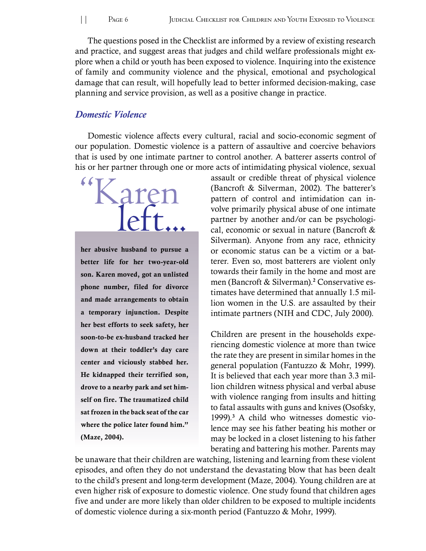The questions posed in the Checklist are informed by a review of existing research and practice, and suggest areas that judges and child welfare professionals might explore when a child or youth has been exposed to violence. Inquiring into the existence of family and community violence and the physical, emotional and psychological damage that can result, will hopefully lead to better informed decision-making, case planning and service provision, as well as a positive change in practice.

#### *Domestic Violence*

Domestic violence affects every cultural, racial and socio-economic segment of our population. Domestic violence is a pattern of assaultive and coercive behaviors that is used by one intimate partner to control another. A batterer asserts control of his or her partner through one or more acts of intimidating physical violence, sexual



her abusive husband to pursue a better life for her two-year-old son. Karen moved, got an unlisted phone number, filed for divorce and made arrangements to obtain a temporary injunction. Despite her best efforts to seek safety, her soon-to-be ex-husband tracked her down at their toddler's day care center and viciously stabbed her. He kidnapped their terrified son, drove to a nearby park and set himself on fire. The traumatized child sat frozen in the back seat of the car where the police later found him." (Maze, 2004).

assault or credible threat of physical violence (Bancroft  $&$  Silverman, 2002). The batterer's pattern of control and intimidation can involve primarily physical abuse of one intimate partner by another and/or can be psychological, economic or sexual in nature (Bancroft & Silverman). Anyone from any race, ethnicity or economic status can be a victim or a batterer. Even so, most batterers are violent only towards their family in the home and most are men (Bancroft & Silverman).<sup>2</sup> Conservative estimates have determined that annually 1.5 million women in the U.S. are assaulted by their intimate partners (NIH and CDC, July 2000).

Children are present in the households experiencing domestic violence at more than twice the rate they are present in similar homes in the general population (Fantuzzo & Mohr, 1999). It is believed that each year more than 3.3 million children witness physical and verbal abuse with violence ranging from insults and hitting to fatal assaults with guns and knives (Osofsky, 1999).<sup>3</sup> A child who witnesses domestic violence may see his father beating his mother or may be locked in a closet listening to his father berating and battering his mother. Parents may

be unaware that their children are watching, listening and learning from these violent episodes, and often they do not understand the devastating blow that has been dealt to the child's present and long-term development (Maze, 2004). Young children are at even higher risk of exposure to domestic violence. One study found that children ages five and under are more likely than older children to be exposed to multiple incidents of domestic violence during a six-month period (Fantuzzo  $&$  Mohr, 1999).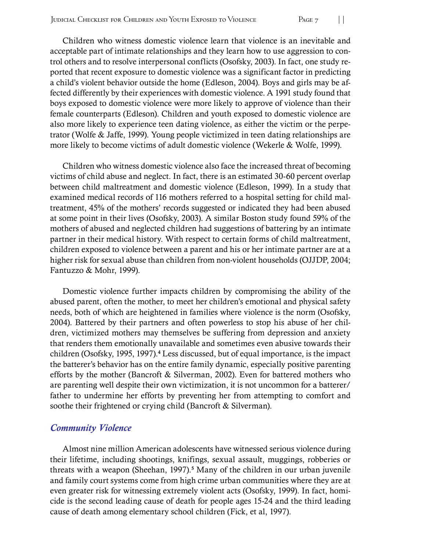Children who witness domestic violence learn that violence is an inevitable and acceptable part of intimate relationships and they learn how to use aggression to control others and to resolve interpersonal conflicts (Osofsky, 2003). In fact, one study reported that recent exposure to domestic violence was a significant factor in predicting a child's violent behavior outside the home (Edleson, 2004). Boys and girls may be affected differently by their experiences with domestic violence. A 1991 study found that boys exposed to domestic violence were more likely to approve of violence than their female counterparts (Edleson). Children and youth exposed to domestic violence are also more likely to experience teen dating violence, as either the victim or the perpetrator (Wolfe & Jaffe, 1999). Young people victimized in teen dating relationships are more likely to become victims of adult domestic violence (Wekerle & Wolfe, 1999).

Children who witness domestic violence also face the increased threat of becoming victims of child abuse and neglect. In fact, there is an estimated 30-60 percent overlap between child maltreatment and domestic violence (Edleson, 1999). In a study that examined medical records of 116 mothers referred to a hospital setting for child maltreatment, 45% of the mothers' records suggested or indicated they had been abused at some point in their lives (Osofsky, 2003). A similar Boston study found 59% of the mothers of abused and neglected children had suggestions of battering by an intimate partner in their medical history. With respect to certain forms of child maltreatment, children exposed to violence between a parent and his or her intimate partner are at a higher risk for sexual abuse than children from non-violent households (OJJDP, 2004; Fantuzzo & Mohr, 1999).

Domestic violence further impacts children by compromising the ability of the abused parent, often the mother, to meet her children's emotional and physical safety needs, both of which are heightened in families where violence is the norm (Osofsky, 2004). Battered by their partners and often powerless to stop his abuse of her children, victimized mothers may themselves be suffering from depression and anxiety that renders them emotionally unavailable and sometimes even abusive towards their children (Osofsky, 1995, 1997).<sup>4</sup> Less discussed, but of equal importance, is the impact the batterer's behavior has on the entire family dynamic, especially positive parenting efforts by the mother (Bancroft  $&$  Silverman, 2002). Even for battered mothers who are parenting well despite their own victimization, it is not uncommon for a batterer/ father to undermine her efforts by preventing her from attempting to comfort and soothe their frightened or crying child (Bancroft & Silverman).

#### *Community Violence*

Almost nine million American adolescents have witnessed serious violence during their lifetime, including shootings, knifings, sexual assault, muggings, robberies or threats with a weapon (Sheehan, 1997).<sup>5</sup> Many of the children in our urban juvenile and family court systems come from high crime urban communities where they are at even greater risk for witnessing extremely violent acts (Osofsky, 1999). In fact, homicide is the second leading cause of death for people ages 15-24 and the third leading cause of death among elementary school children (Fick, et al, 1997).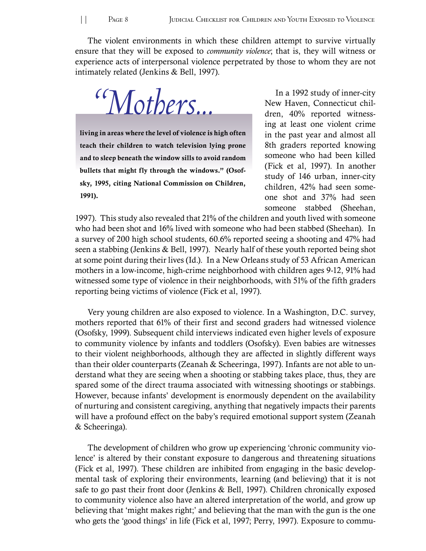The violent environments in which these children attempt to survive virtually ensure that they will be exposed to *community violence*; that is, they will witness or experience acts of interpersonal violence perpetrated by those to whom they are not intimately related (Jenkins & Bell, 1997).

 *"Mothers...* 

living in areas where the level of violence is high often teach their children to watch television lying prone and to sleep beneath the window sills to avoid random bullets that might fly through the windows." (Osofsky, 1995, citing National Commission on Children, 1991).

In a 1992 study of inner-city New Haven, Connecticut children, 40% reported witnessing at least one violent crime in the past year and almost all 8th graders reported knowing someone who had been killed (Fick et al, 1997). In another study of 146 urban, inner-city children, 42% had seen someone shot and 37% had seen someone stabbed (Sheehan,

1997). This study also revealed that 21% of the children and youth lived with someone who had been shot and 16% lived with someone who had been stabbed (Sheehan). In a survey of 200 high school students, 60.6% reported seeing a shooting and 47% had seen a stabbing (Jenkins & Bell, 1997). Nearly half of these youth reported being shot at some point during their lives (Id.). In a New Orleans study of 53 African American mothers in a low-income, high-crime neighborhood with children ages 9-12, 91% had witnessed some type of violence in their neighborhoods, with 51% of the fifth graders reporting being victims of violence (Fick et al, 1997).

Very young children are also exposed to violence. In a Washington, D.C. survey, mothers reported that 61% of their first and second graders had witnessed violence (Osofsky, 1999). Subsequent child interviews indicated even higher levels of exposure to community violence by infants and toddlers (Osofsky). Even babies are witnesses to their violent neighborhoods, although they are affected in slightly different ways than their older counterparts (Zeanah  $&$  Scheeringa, 1997). Infants are not able to understand what they are seeing when a shooting or stabbing takes place, thus, they are spared some of the direct trauma associated with witnessing shootings or stabbings. However, because infants' development is enormously dependent on the availability of nurturing and consistent caregiving, anything that negatively impacts their parents will have a profound effect on the baby's required emotional support system (Zeanah & Scheeringa).

The development of children who grow up experiencing 'chronic community violence' is altered by their constant exposure to dangerous and threatening situations (Fick et al, 1997). These children are inhibited from engaging in the basic developmental task of exploring their environments, learning (and believing) that it is not safe to go past their front door (Jenkins & Bell, 1997). Children chronically exposed to community violence also have an altered interpretation of the world, and grow up believing that 'might makes right;' and believing that the man with the gun is the one who gets the 'good things' in life (Fick et al, 1997; Perry, 1997). Exposure to commu-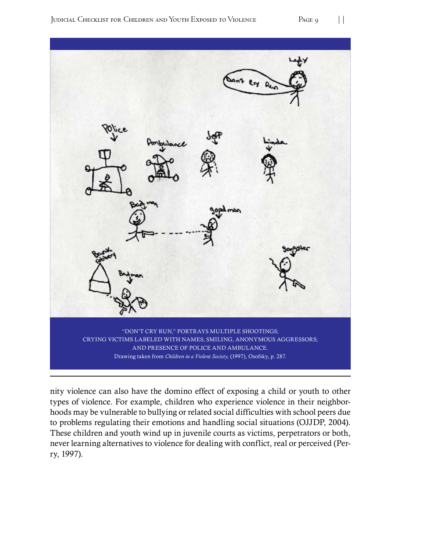

nity violence can also have the domino effect of exposing a child or youth to other types of violence. For example, children who experience violence in their neighborhoods may be vulnerable to bullying or related social difficulties with school peers due to problems regulating their emotions and handling social situations (OJJDP, 2004). These children and youth wind up in juvenile courts as victims, perpetrators or both, never learning alternatives to violence for dealing with conflict, real or perceived (Perry, 1997).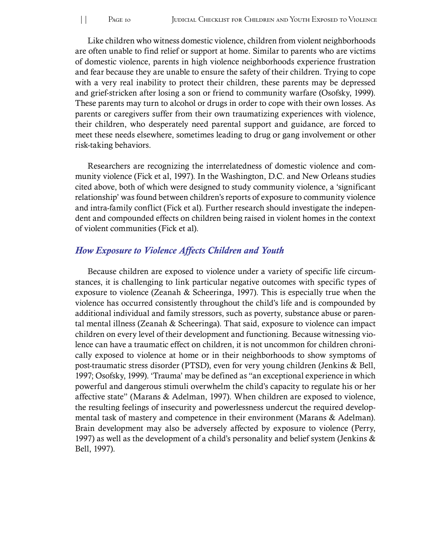Like children who witness domestic violence, children from violent neighborhoods are often unable to find relief or support at home. Similar to parents who are victims of domestic violence, parents in high violence neighborhoods experience frustration and fear because they are unable to ensure the safety of their children. Trying to cope with a very real inability to protect their children, these parents may be depressed and grief-stricken after losing a son or friend to community warfare (Osofsky, 1999). These parents may turn to alcohol or drugs in order to cope with their own losses. As parents or caregivers suffer from their own traumatizing experiences with violence, their children, who desperately need parental support and guidance, are forced to meet these needs elsewhere, sometimes leading to drug or gang involvement or other risk-taking behaviors.

Researchers are recognizing the interrelatedness of domestic violence and community violence (Fick et al, 1997). In the Washington, D.C. and New Orleans studies cited above, both of which were designed to study community violence, a 'significant relationship' was found between children's reports of exposure to community violence and intra-family conflict (Fick et al). Further research should investigate the independent and compounded effects on children being raised in violent homes in the context of violent communities (Fick et al).

#### *How Exposure to Violence Affects Children and Youth*

Because children are exposed to violence under a variety of specific life circumstances, it is challenging to link particular negative outcomes with specific types of exposure to violence (Zeanah  $&$  Scheeringa, 1997). This is especially true when the violence has occurred consistently throughout the child's life and is compounded by additional individual and family stressors, such as poverty, substance abuse or parental mental illness (Zeanah & Scheeringa). That said, exposure to violence can impact children on every level of their development and functioning. Because witnessing violence can have a traumatic effect on children, it is not uncommon for children chronically exposed to violence at home or in their neighborhoods to show symptoms of post-traumatic stress disorder (PTSD), even for very young children (Jenkins & Bell, 1997; Osofsky, 1999). 'Trauma' may be defined as "an exceptional experience in which powerful and dangerous stimuli overwhelm the child's capacity to regulate his or her affective state" (Marans  $&$  Adelman, 1997). When children are exposed to violence, the resulting feelings of insecurity and powerlessness undercut the required developmental task of mastery and competence in their environment (Marans  $&$  Adelman). Brain development may also be adversely affected by exposure to violence (Perry, 1997) as well as the development of a child's personality and belief system (Jenkins  $\&$ Bell, 1997).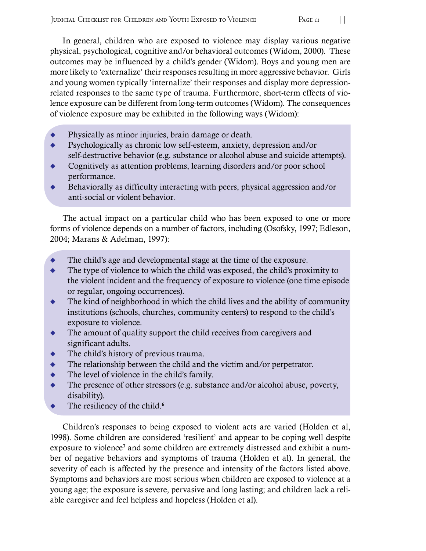In general, children who are exposed to violence may display various negative physical, psychological, cognitive and/or behavioral outcomes (Widom, 2000). These outcomes may be influenced by a child's gender (Widom). Boys and young men are more likely to 'externalize' their responses resulting in more aggressive behavior. Girls and young women typically 'internalize' their responses and display more depressionrelated responses to the same type of trauma. Furthermore, short-term effects of violence exposure can be different from long-term outcomes (Widom). The consequences of violence exposure may be exhibited in the following ways (Widom):

- $\blacklozenge$  Physically as minor injuries, brain damage or death.
- $\ddot{\bullet}$ Psychologically as chronic low self-esteem, anxiety, depression and/or self-destructive behavior (e.g. substance or alcohol abuse and suicide attempts).
- $\ddot{\bullet}$ Cognitively as attention problems, learning disorders and/or poor school performance.
- $\blacklozenge$ Behaviorally as difficulty interacting with peers, physical aggression and/or anti-social or violent behavior.

The actual impact on a particular child who has been exposed to one or more forms of violence depends on a number of factors, including (Osofsky, 1997; Edleson, 2004; Marans & Adelman, 1997):

- $\blacklozenge$ The child's age and developmental stage at the time of the exposure.
- $\ddot{\bullet}$ The type of violence to which the child was exposed, the child's proximity to the violent incident and the frequency of exposure to violence (one time episode or regular, ongoing occurrences).
- $\ddot{\bullet}$ The kind of neighborhood in which the child lives and the ability of community institutions (schools, churches, community centers) to respond to the child's exposure to violence.
- $\ddot{\bullet}$ The amount of quality support the child receives from caregivers and significant adults.
- $\blacklozenge$ The child's history of previous trauma.
- $\ddot{\bullet}$ The relationship between the child and the victim and/or perpetrator.
- $\ddot{\bullet}$ The level of violence in the child's family.
- $\ddot{\bullet}$ The presence of other stressors (e.g. substance and/or alcohol abuse, poverty, disability).
- $\blacklozenge$  The resiliency of the child.<sup>6</sup>

Children's responses to being exposed to violent acts are varied (Holden et al, 1998). Some children are considered 'resilient' and appear to be coping well despite exposure to violence<sup>7</sup> and some children are extremely distressed and exhibit a number of negative behaviors and symptoms of trauma (Holden et al). In general, the severity of each is affected by the presence and intensity of the factors listed above. Symptoms and behaviors are most serious when children are exposed to violence at a young age; the exposure is severe, pervasive and long lasting; and children lack a reliable caregiver and feel helpless and hopeless (Holden et al).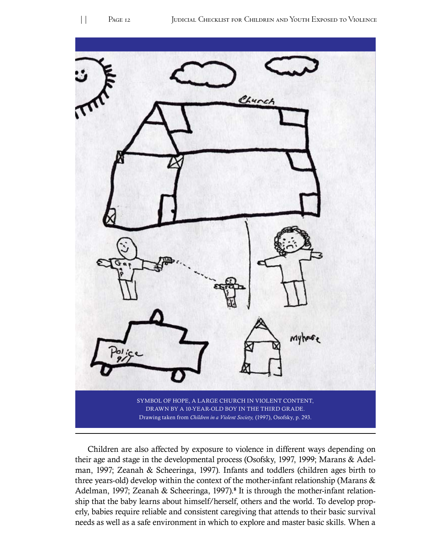

Children are also affected by exposure to violence in different ways depending on their age and stage in the developmental process (Osofsky, 1997, 1999; Marans  $&$  Adelman, 1997; Zeanah & Scheeringa, 1997). Infants and toddlers (children ages birth to three years-old) develop within the context of the mother-infant relationship (Marans  $\&$ Adelman, 1997; Zeanah & Scheeringa, 1997).<sup>8</sup> It is through the mother-infant relationship that the baby learns about himself/herself, others and the world. To develop properly, babies require reliable and consistent caregiving that attends to their basic survival needs as well as a safe environment in which to explore and master basic skills. When a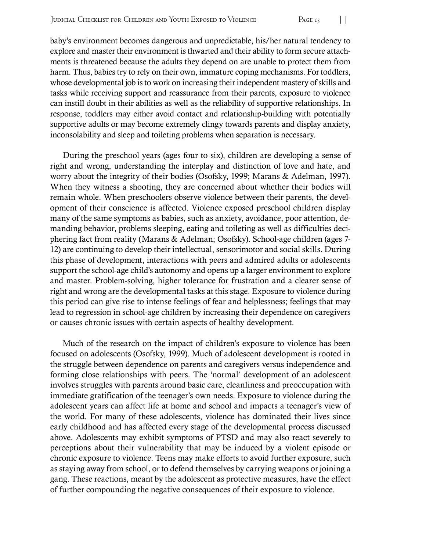baby's environment becomes dangerous and unpredictable, his/her natural tendency to explore and master their environment is thwarted and their ability to form secure attachments is threatened because the adults they depend on are unable to protect them from harm. Thus, babies try to rely on their own, immature coping mechanisms. For toddlers, whose developmental job is to work on increasing their independent mastery of skills and tasks while receiving support and reassurance from their parents, exposure to violence can instill doubt in their abilities as well as the reliability of supportive relationships. In response, toddlers may either avoid contact and relationship-building with potentially supportive adults or may become extremely clingy towards parents and display anxiety, inconsolability and sleep and toileting problems when separation is necessary.

During the preschool years (ages four to six), children are developing a sense of right and wrong, understanding the interplay and distinction of love and hate, and worry about the integrity of their bodies (Osofsky, 1999; Marans  $&$  Adelman, 1997). When they witness a shooting, they are concerned about whether their bodies will remain whole. When preschoolers observe violence between their parents, the development of their conscience is affected. Violence exposed preschool children display many of the same symptoms as babies, such as anxiety, avoidance, poor attention, demanding behavior, problems sleeping, eating and toileting as well as difficulties deciphering fact from reality (Marans & Adelman; Osofsky). School-age children (ages 7-12) are continuing to develop their intellectual, sensorimotor and social skills. During this phase of development, interactions with peers and admired adults or adolescents support the school-age child's autonomy and opens up a larger environment to explore and master. Problem-solving, higher tolerance for frustration and a clearer sense of right and wrong are the developmental tasks at this stage. Exposure to violence during this period can give rise to intense feelings of fear and helplessness; feelings that may lead to regression in school-age children by increasing their dependence on caregivers or causes chronic issues with certain aspects of healthy development.

Much of the research on the impact of children's exposure to violence has been focused on adolescents (Osofsky, 1999). Much of adolescent development is rooted in the struggle between dependence on parents and caregivers versus independence and forming close relationships with peers. The 'normal' development of an adolescent involves struggles with parents around basic care, cleanliness and preoccupation with immediate gratification of the teenager's own needs. Exposure to violence during the adolescent years can affect life at home and school and impacts a teenager's view of the world. For many of these adolescents, violence has dominated their lives since early childhood and has affected every stage of the developmental process discussed above. Adolescents may exhibit symptoms of PTSD and may also react severely to perceptions about their vulnerability that may be induced by a violent episode or chronic exposure to violence. Teens may make efforts to avoid further exposure, such as staying away from school, or to defend themselves by carrying weapons or joining a gang. These reactions, meant by the adolescent as protective measures, have the effect of further compounding the negative consequences of their exposure to violence.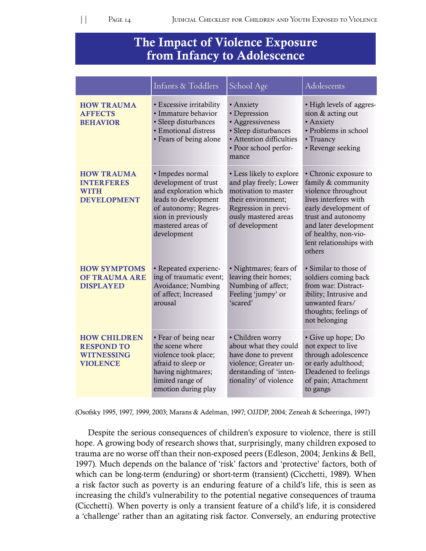## The Impact of Violence Exposure from Infancy to Adolescence

|                                                                                  | Infants & Toddlers                                                                                                                                                          | School Age                                                                                                                                                         | Adolescents                                                                                                                                                                                                                     |
|----------------------------------------------------------------------------------|-----------------------------------------------------------------------------------------------------------------------------------------------------------------------------|--------------------------------------------------------------------------------------------------------------------------------------------------------------------|---------------------------------------------------------------------------------------------------------------------------------------------------------------------------------------------------------------------------------|
| <b>HOW TRAUMA</b><br><b>AFFECTS</b><br><b>BEHAVIOR</b>                           | • Excessive irritability<br>· Immature behavior<br>• Sleep disturbances<br>· Emotional distress<br>• Fears of being alone                                                   | • Anxiety<br>• Depression<br>• Aggressiveness<br>• Sleep disturbances<br>• Attention difficulties<br>• Poor school perfor-<br>mance                                | • High levels of aggres-<br>sion & acting out<br>· Anxiety<br>• Problems in school<br>• Truancy<br>• Revenge seeking                                                                                                            |
| <b>HOW TRAUMA</b><br><b>INTERFERES</b><br><b>WITH</b><br><b>DEVELOPMENT</b>      | · Impedes normal<br>development of trust<br>and exploration which<br>leads to development<br>of autonomy; Regres-<br>sion in previously<br>mastered areas of<br>development | • Less likely to explore<br>and play freely; Lower<br>motivation to master<br>their environment;<br>Regression in previ-<br>ously mastered areas<br>of development | • Chronic exposure to<br>family & community<br>violence throughout<br>lives interferes with<br>early development of<br>trust and autonomy<br>and later development<br>of healthy, non-vio-<br>lent relationships with<br>others |
| <b>HOW SYMPTOMS</b><br><b>OF TRAUMA ARE</b><br><b>DISPLAYED</b>                  | • Repeated experienc-<br>ing of traumatic event;<br>Avoidance; Numbing<br>of affect; Increased<br>arousal                                                                   | · Nightmares; fears of<br>leaving their homes;<br>Numbing of affect;<br>Feeling 'jumpy' or<br>'scared'                                                             | • Similar to those of<br>soldiers coming back<br>from war: Distract-<br>ibility; Intrusive and<br>unwanted fears/<br>thoughts; feelings of<br>not belonging                                                                     |
| <b>HOW CHILDREN</b><br><b>RESPOND TO</b><br><b>WITNESSING</b><br><b>VIOLENCE</b> | • Fear of being near<br>the scene where<br>violence took place;<br>afraid to sleep or<br>having nightmares;<br>limited range of<br>emotion during play                      | • Children worry<br>about what they could<br>have done to prevent<br>violence; Greater un-<br>derstanding of 'inten-<br>tionality' of violence                     | • Give up hope; Do<br>not expect to live<br>through adolescence<br>or early adulthood;<br>Deadened to feelings<br>of pain; Attachment<br>to gangs                                                                               |

(Osofsky 1995, 1997, 1999, 2003; Marans & Adelman, 1997; OJJDP, 2004; Zeneah & Scheeringa, 1997)

Despite the serious consequences of children's exposure to violence, there is still hope. A growing body of research shows that, surprisingly, many children exposed to trauma are no worse off than their non-exposed peers (Edleson, 2004; Jenkins & Bell, 1997). Much depends on the balance of 'risk' factors and 'protective' factors, both of which can be long-term (enduring) or short-term (transient) (Cicchetti, 1989). When a risk factor such as poverty is an enduring feature of a child's life, this is seen as increasing the child's vulnerability to the potential negative consequences of trauma (Cicchetti). When poverty is only a transient feature of a child's life, it is considered a 'challenge' rather than an agitating risk factor. Conversely, an enduring protective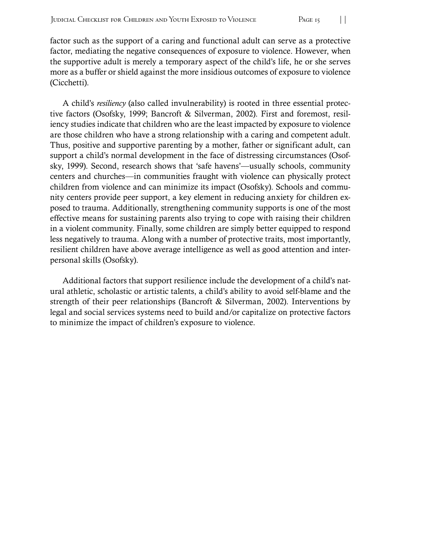factor such as the support of a caring and functional adult can serve as a protective factor, mediating the negative consequences of exposure to violence. However, when the supportive adult is merely a temporary aspect of the child's life, he or she serves more as a buffer or shield against the more insidious outcomes of exposure to violence (Cicchetti).

A child's *resiliency* (also called invulnerability) is rooted in three essential protective factors (Osofsky, 1999; Bancroft & Silverman, 2002). First and foremost, resiliency studies indicate that children who are the least impacted by exposure to violence are those children who have a strong relationship with a caring and competent adult. Thus, positive and supportive parenting by a mother, father or significant adult, can support a child's normal development in the face of distressing circumstances (Osofsky, 1999). Second, research shows that 'safe havens'—usually schools, community centers and churches—in communities fraught with violence can physically protect children from violence and can minimize its impact (Osofsky). Schools and community centers provide peer support, a key element in reducing anxiety for children exposed to trauma. Additionally, strengthening community supports is one of the most effective means for sustaining parents also trying to cope with raising their children in a violent community. Finally, some children are simply better equipped to respond less negatively to trauma. Along with a number of protective traits, most importantly, resilient children have above average intelligence as well as good attention and interpersonal skills (Osofsky).

Additional factors that support resilience include the development of a child's natural athletic, scholastic or artistic talents, a child's ability to avoid self-blame and the strength of their peer relationships (Bancroft  $&$  Silverman, 2002). Interventions by legal and social services systems need to build and/or capitalize on protective factors to minimize the impact of children's exposure to violence.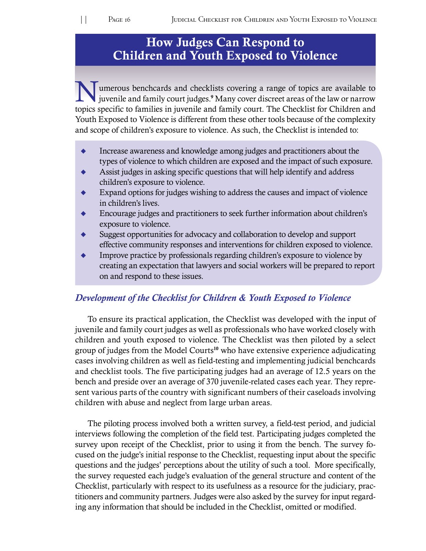# How Judges Can Respond to Children and Youth Exposed to Violence

Tumerous benchcards and checklists covering a range of topics are available to juvenile and family court judges.<sup>9</sup> Many cover discreet areas of the law or narrow topics specific to families in juvenile and family court. The Checklist for Children and Youth Exposed to Violence is different from these other tools because of the complexity and scope of children's exposure to violence. As such, the Checklist is intended to:

- $\bullet$  Increase awareness and knowledge among judges and practitioners about the types of violence to which children are exposed and the impact of such exposure.
- Assist judges in asking specific questions that will help identify and address children's exposure to violence.
- Expand options for judges wishing to address the causes and impact of violence in children's lives.
- Encourage judges and practitioners to seek further information about children's exposure to violence.
- $\bullet$  Suggest opportunities for advocacy and collaboration to develop and support effective community responses and interventions for children exposed to violence.
- Improve practice by professionals regarding children's exposure to violence by creating an expectation that lawyers and social workers will be prepared to report on and respond to these issues.

#### *Development of the Checklist for Children & Youth Exposed to Violence*

To ensure its practical application, the Checklist was developed with the input of juvenile and family court judges as well as professionals who have worked closely with children and youth exposed to violence. The Checklist was then piloted by a select group of judges from the Model Courts<sup>10</sup> who have extensive experience adjudicating cases involving children as well as field-testing and implementing judicial benchcards and checklist tools. The five participating judges had an average of 12.5 years on the bench and preside over an average of 370 juvenile-related cases each year. They represent various parts of the country with significant numbers of their caseloads involving children with abuse and neglect from large urban areas.

The piloting process involved both a written survey, a field-test period, and judicial interviews following the completion of the field test. Participating judges completed the survey upon receipt of the Checklist, prior to using it from the bench. The survey focused on the judge's initial response to the Checklist, requesting input about the specific questions and the judges' perceptions about the utility of such a tool. More specifically, the survey requested each judge's evaluation of the general structure and content of the Checklist, particularly with respect to its usefulness as a resource for the judiciary, practitioners and community partners. Judges were also asked by the survey for input regarding any information that should be included in the Checklist, omitted or modified.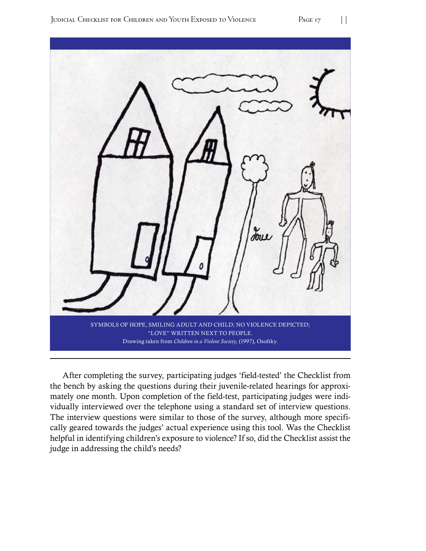

After completing the survey, participating judges 'field-tested' the Checklist from the bench by asking the questions during their juvenile-related hearings for approximately one month. Upon completion of the field-test, participating judges were individually interviewed over the telephone using a standard set of interview questions. The interview questions were similar to those of the survey, although more specifically geared towards the judges' actual experience using this tool. Was the Checklist helpful in identifying children's exposure to violence? If so, did the Checklist assist the judge in addressing the child's needs?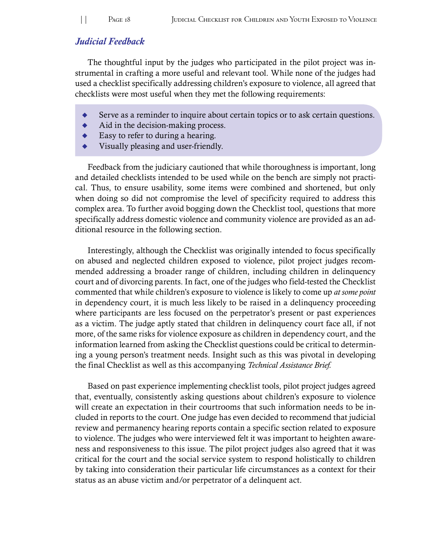#### *Judicial Feedback*

The thoughtful input by the judges who participated in the pilot project was instrumental in crafting a more useful and relevant tool. While none of the judges had used a checklist specifically addressing children's exposure to violence, all agreed that checklists were most useful when they met the following requirements:

- Serve as a reminder to inquire about certain topics or to ask certain questions.
- $\blacklozenge$  Aid in the decision-making process.
- Easy to refer to during a hearing.
- Visually pleasing and user-friendly.

Feedback from the judiciary cautioned that while thoroughness is important, long and detailed checklists intended to be used while on the bench are simply not practical. Thus, to ensure usability, some items were combined and shortened, but only when doing so did not compromise the level of specificity required to address this complex area. To further avoid bogging down the Checklist tool, questions that more specifically address domestic violence and community violence are provided as an additional resource in the following section.

Interestingly, although the Checklist was originally intended to focus specifically on abused and neglected children exposed to violence, pilot project judges recommended addressing a broader range of children, including children in delinquency court and of divorcing parents. In fact, one of the judges who field-tested the Checklist commented that while children's exposure to violence is likely to come up *at some point* in dependency court, it is much less likely to be raised in a delinquency proceeding where participants are less focused on the perpetrator's present or past experiences as a victim. The judge aptly stated that children in delinquency court face all, if not more, of the same risks for violence exposure as children in dependency court, and the information learned from asking the Checklist questions could be critical to determining a young person's treatment needs. Insight such as this was pivotal in developing the final Checklist as well as this accompanying *Technical Assistance Brief.* 

Based on past experience implementing checklist tools, pilot project judges agreed that, eventually, consistently asking questions about children's exposure to violence will create an expectation in their courtrooms that such information needs to be included in reports to the court. One judge has even decided to recommend that judicial review and permanency hearing reports contain a specific section related to exposure to violence. The judges who were interviewed felt it was important to heighten awareness and responsiveness to this issue. The pilot project judges also agreed that it was critical for the court and the social service system to respond holistically to children by taking into consideration their particular life circumstances as a context for their status as an abuse victim and/or perpetrator of a delinquent act.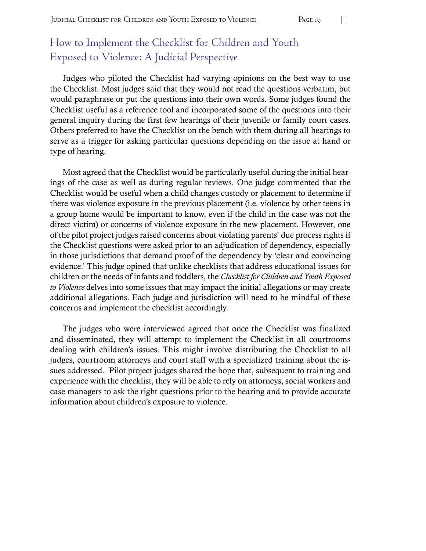# How to Implement the Checklist for Children and Youth Exposed to Violence: A Judicial Perspective

Judges who piloted the Checklist had varying opinions on the best way to use the Checklist. Most judges said that they would not read the questions verbatim, but would paraphrase or put the questions into their own words. Some judges found the Checklist useful as a reference tool and incorporated some of the questions into their general inquiry during the first few hearings of their juvenile or family court cases. Others preferred to have the Checklist on the bench with them during all hearings to serve as a trigger for asking particular questions depending on the issue at hand or type of hearing.

Most agreed that the Checklist would be particularly useful during the initial hearings of the case as well as during regular reviews. One judge commented that the Checklist would be useful when a child changes custody or placement to determine if there was violence exposure in the previous placement (i.e. violence by other teens in a group home would be important to know, even if the child in the case was not the direct victim) or concerns of violence exposure in the new placement. However, one of the pilot project judges raised concerns about violating parents' due process rights if the Checklist questions were asked prior to an adjudication of dependency, especially in those jurisdictions that demand proof of the dependency by 'clear and convincing evidence.' This judge opined that unlike checklists that address educational issues for children or the needs of infants and toddlers, the *Checklist for Children and Youth Exposed to Violence* delves into some issues that may impact the initial allegations or may create additional allegations. Each judge and jurisdiction will need to be mindful of these concerns and implement the checklist accordingly.

The judges who were interviewed agreed that once the Checklist was finalized and disseminated, they will attempt to implement the Checklist in all courtrooms dealing with children's issues. This might involve distributing the Checklist to all judges, courtroom attorneys and court staff with a specialized training about the issues addressed. Pilot project judges shared the hope that, subsequent to training and experience with the checklist, they will be able to rely on attorneys, social workers and case managers to ask the right questions prior to the hearing and to provide accurate information about children's exposure to violence.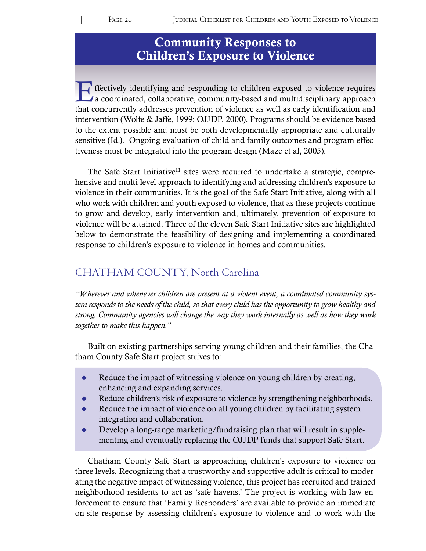# Community Responses to Children's Exposure to Violence

Effectively identifying and responding to children exposed to violence requires<br>a coordinated, collaborative, community-based and multidisciplinary approach that concurrently addresses prevention of violence as well as early identification and intervention (Wolfe & Jaffe, 1999; OJJDP, 2000). Programs should be evidence-based to the extent possible and must be both developmentally appropriate and culturally sensitive (Id.). Ongoing evaluation of child and family outcomes and program effectiveness must be integrated into the program design (Maze et al, 2005).

The Safe Start Initiative<sup>11</sup> sites were required to undertake a strategic, comprehensive and multi-level approach to identifying and addressing children's exposure to violence in their communities. It is the goal of the Safe Start Initiative, along with all who work with children and youth exposed to violence, that as these projects continue to grow and develop, early intervention and, ultimately, prevention of exposure to violence will be attained. Three of the eleven Safe Start Initiative sites are highlighted below to demonstrate the feasibility of designing and implementing a coordinated response to children's exposure to violence in homes and communities.

## CHATHAM COUNTY, North Carolina

*"Wherever and whenever children are present at a violent event, a coordinated community system responds to the needs of the child, so that every child has the opportunity to grow healthy and strong. Community agencies will change the way they work internally as well as how they work together to make this happen."* 

Built on existing partnerships serving young children and their families, the Chatham County Safe Start project strives to:

- Reduce the impact of witnessing violence on young children by creating, enhancing and expanding services.
- Reduce children's risk of exposure to violence by strengthening neighborhoods.
- Reduce the impact of violence on all young children by facilitating system integration and collaboration.
- $\bullet$  Develop a long-range marketing/fundraising plan that will result in supplementing and eventually replacing the OJJDP funds that support Safe Start.

Chatham County Safe Start is approaching children's exposure to violence on three levels. Recognizing that a trustworthy and supportive adult is critical to moderating the negative impact of witnessing violence, this project has recruited and trained neighborhood residents to act as 'safe havens.' The project is working with law enforcement to ensure that 'Family Responders' are available to provide an immediate on-site response by assessing children's exposure to violence and to work with the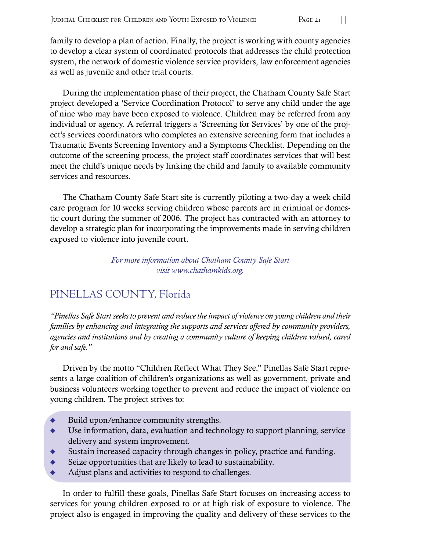family to develop a plan of action. Finally, the project is working with county agencies to develop a clear system of coordinated protocols that addresses the child protection system, the network of domestic violence service providers, law enforcement agencies as well as juvenile and other trial courts.

During the implementation phase of their project, the Chatham County Safe Start project developed a 'Service Coordination Protocol' to serve any child under the age of nine who may have been exposed to violence. Children may be referred from any individual or agency. A referral triggers a 'Screening for Services' by one of the project's services coordinators who completes an extensive screening form that includes a Traumatic Events Screening Inventory and a Symptoms Checklist. Depending on the outcome of the screening process, the project staff coordinates services that will best meet the child's unique needs by linking the child and family to available community services and resources.

The Chatham County Safe Start site is currently piloting a two-day a week child care program for 10 weeks serving children whose parents are in criminal or domestic court during the summer of 2006. The project has contracted with an attorney to develop a strategic plan for incorporating the improvements made in serving children exposed to violence into juvenile court.

> *For more information about Chatham County Safe Start visit www.chathamkids.org.*

# PINELLAS COUNTY, Florida

*"Pinellas Safe Start seeks to prevent and reduce the impact of violence on young children and their families by enhancing and integrating the supports and services offered by community providers, agencies and institutions and by creating a community culture of keeping children valued, cared for and safe."* 

Driven by the motto "Children Reflect What They See," Pinellas Safe Start represents a large coalition of children's organizations as well as government, private and business volunteers working together to prevent and reduce the impact of violence on young children. The project strives to:

- Build upon/enhance community strengths.
- $\blacklozenge$  Use information, data, evaluation and technology to support planning, service delivery and system improvement.
- $\bullet$  Sustain increased capacity through changes in policy, practice and funding.
- $\bullet$  Seize opportunities that are likely to lead to sustainability.
- Adjust plans and activities to respond to challenges.

In order to fulfill these goals, Pinellas Safe Start focuses on increasing access to services for young children exposed to or at high risk of exposure to violence. The project also is engaged in improving the quality and delivery of these services to the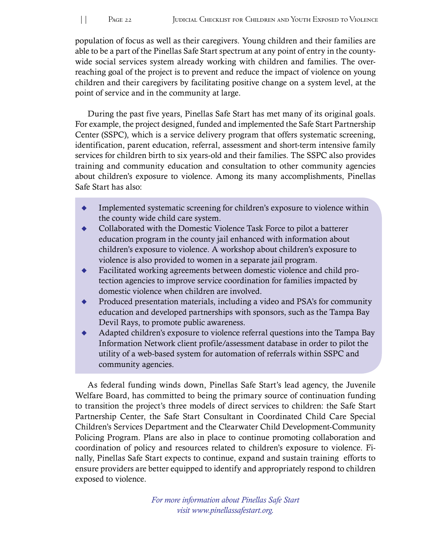population of focus as well as their caregivers. Young children and their families are able to be a part of the Pinellas Safe Start spectrum at any point of entry in the countywide social services system already working with children and families. The overreaching goal of the project is to prevent and reduce the impact of violence on young children and their caregivers by facilitating positive change on a system level, at the point of service and in the community at large.

During the past five years, Pinellas Safe Start has met many of its original goals. For example, the project designed, funded and implemented the Safe Start Partnership Center (SSPC), which is a service delivery program that offers systematic screening, identification, parent education, referral, assessment and short-term intensive family services for children birth to six years-old and their families. The SSPC also provides training and community education and consultation to other community agencies about children's exposure to violence. Among its many accomplishments, Pinellas Safe Start has also:

- Implemented systematic screening for children's exposure to violence within the county wide child care system.
- $\bullet$  Collaborated with the Domestic Violence Task Force to pilot a batterer education program in the county jail enhanced with information about children's exposure to violence. A workshop about children's exposure to violence is also provided to women in a separate jail program.
- $\bullet$  Facilitated working agreements between domestic violence and child protection agencies to improve service coordination for families impacted by domestic violence when children are involved.
- $\bullet$  Produced presentation materials, including a video and PSA's for community education and developed partnerships with sponsors, such as the Tampa Bay Devil Rays, to promote public awareness.
- Adapted children's exposure to violence referral questions into the Tampa Bay Information Network client profile/assessment database in order to pilot the utility of a web-based system for automation of referrals within SSPC and community agencies.

As federal funding winds down, Pinellas Safe Start's lead agency, the Juvenile Welfare Board, has committed to being the primary source of continuation funding to transition the project's three models of direct services to children: the Safe Start Partnership Center, the Safe Start Consultant in Coordinated Child Care Special Children's Services Department and the Clearwater Child Development-Community Policing Program. Plans are also in place to continue promoting collaboration and coordination of policy and resources related to children's exposure to violence. Finally, Pinellas Safe Start expects to continue, expand and sustain training efforts to ensure providers are better equipped to identify and appropriately respond to children exposed to violence.

> *For more information about Pinellas Safe Start visit www.pinellassafestart.org.*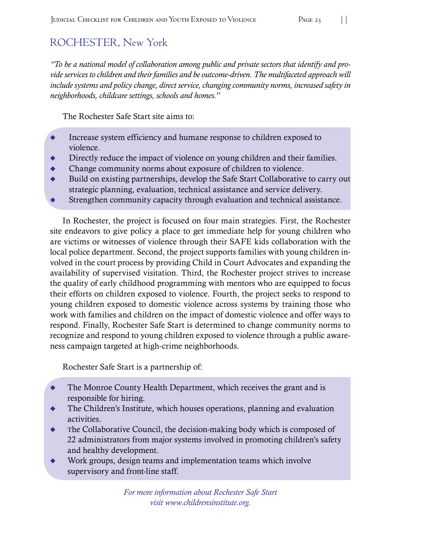# ROCHESTER, New York

*"To be a national model of collaboration among public and private sectors that identify and provide services to children and their families and be outcome-driven. The multifaceted approach will include systems and policy change, direct service, changing community norms, increased safety in neighborhoods, childcare settings, schools and homes."* 

The Rochester Safe Start site aims to:

- $\ddot{\bullet}$ Increase system efficiency and humane response to children exposed to violence.
- $\ddot{\bullet}$ Directly reduce the impact of violence on young children and their families.
- $\ddot{\bullet}$ Change community norms about exposure of children to violence.
- $\ddot{\bullet}$ Build on existing partnerships, develop the Safe Start Collaborative to carry out strategic planning, evaluation, technical assistance and service delivery.
- $\blacklozenge$ Strengthen community capacity through evaluation and technical assistance.

In Rochester, the project is focused on four main strategies. First, the Rochester site endeavors to give policy a place to get immediate help for young children who are victims or witnesses of violence through their SAFE kids collaboration with the local police department. Second, the project supports families with young children involved in the court process by providing Child in Court Advocates and expanding the availability of supervised visitation. Third, the Rochester project strives to increase the quality of early childhood programming with mentors who are equipped to focus their efforts on children exposed to violence. Fourth, the project seeks to respond to young children exposed to domestic violence across systems by training those who work with families and children on the impact of domestic violence and offer ways to respond. Finally, Rochester Safe Start is determined to change community norms to recognize and respond to young children exposed to violence through a public awareness campaign targeted at high-crime neighborhoods.

Rochester Safe Start is a partnership of:

- $\ddot{\bullet}$ The Monroe County Health Department, which receives the grant and is responsible for hiring.
- $\ddot{\bullet}$ The Children's Institute, which houses operations, planning and evaluation activities.
- $\bullet$  The Collaborative Council, the decision-making body which is composed of 22 administrators from major systems involved in promoting children's safety and healthy development.
- $\blacklozenge$ Work groups, design teams and implementation teams which involve supervisory and front-line staff.

*For more information about Rochester Safe Start visit www.childrensinstitute.org.*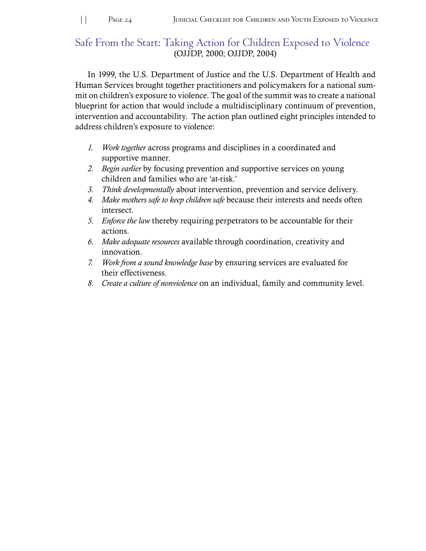#### Safe From the Start: Taking Action for Children Exposed to Violence (OJJDP, 2000; OJJDP, 2004)

In 1999, the U.S. Department of Justice and the U.S. Department of Health and Human Services brought together practitioners and policymakers for a national summit on children's exposure to violence. The goal of the summit was to create a national blueprint for action that would include a multidisciplinary continuum of prevention, intervention and accountability. The action plan outlined eight principles intended to address children's exposure to violence:

- *1. Work together* across programs and disciplines in a coordinated and supportive manner.
- 2. *Begin earlier* by focusing prevention and supportive services on young children and families who are 'at-risk.'
- *3. Think developmentally* about intervention, prevention and service delivery.
- 4. Make mothers safe to keep children safe because their interests and needs often intersect.
- *5. Enforce the law* thereby requiring perpetrators to be accountable for their actions.
- *6. Make adequate resources* available through coordination, creativity and innovation.
- 7. *Work from a sound knowledge base* by ensuring services are evaluated for their effectiveness.
- *8. Create a culture of nonviolence* on an individual, family and community level.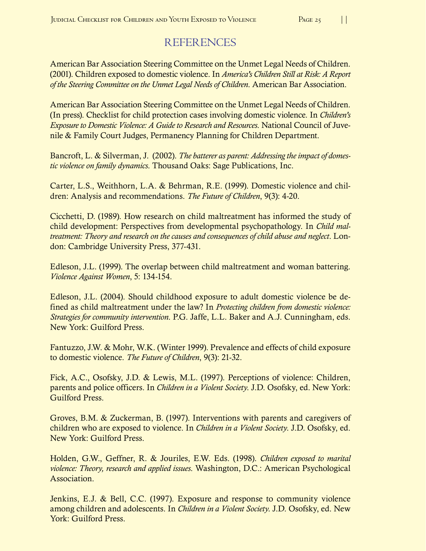# REFERENCES

American Bar Association Steering Committee on the Unmet Legal Needs of Children. (2001). Children exposed to domestic violence. In *America's Children Still at Risk: A Report* of the Steering Committee on the Unmet Legal Needs of Children. American Bar Association.

American Bar Association Steering Committee on the Unmet Legal Needs of Children. (In press). Checklist for child protection cases involving domestic violence. In *Children's Exposure to Domestic Violence: A Guide to Research and Resources.* National Council of Juvenile & Family Court Judges, Permanency Planning for Children Department.

Bancroft, L. & Silverman, J. (2002). *The batterer as parent: Addressing the impact of domestic violence on family dynamics*. Thousand Oaks: Sage Publications, Inc.

Carter, L.S., Weithhorn, L.A. & Behrman, R.E. (1999). Domestic violence and children: Analysis and recommendations. *The Future of Children*, 9(3): 4-20.

Cicchetti, D. (1989). How research on child maltreatment has informed the study of child development: Perspectives from developmental psychopathology. In *Child maltreatment: Theory and research on the causes and consequences of child abuse and neglect.* London: Cambridge University Press, 377-431.

Edleson, J.L. (1999). The overlap between child maltreatment and woman battering. *Violence Against Women*, 5: 134-154.

Edleson, J.L. (2004). Should childhood exposure to adult domestic violence be defined as child maltreatment under the law? In *Protecting children from domestic violence: Strategies for community intervention*. P.G. Jaffe, L.L. Baker and A.J. Cunningham, eds. New York: Guilford Press.

Fantuzzo, J.W. & Mohr, W.K. (Winter 1999). Prevalence and effects of child exposure to domestic violence. *The Future of Children*, 9(3): 21-32.

Fick, A.C., Osofsky, J.D. & Lewis, M.L. (1997). Perceptions of violence: Children, parents and police officers. In *Children in a Violent Society*. J.D. Osofsky, ed. New York: Guilford Press.

Groves, B.M. & Zuckerman, B. (1997). Interventions with parents and caregivers of children who are exposed to violence. In *Children in a Violent Society*. J.D. Osofsky, ed. New York: Guilford Press.

Holden, G.W., Geffner, R. & Jouriles, E.W. Eds. (1998). *Children exposed to marital violence: Theory, research and applied issues.* Washington, D.C.: American Psychological Association.

Jenkins, E.J. & Bell, C.C. (1997). Exposure and response to community violence among children and adolescents. In *Children in a Violent Society*. J.D. Osofsky, ed. New York: Guilford Press.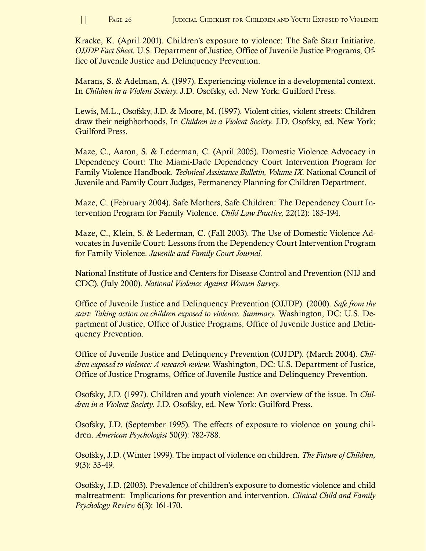Kracke, K. (April 2001). Children's exposure to violence: The Safe Start Initiative. *OJJDP Fact Sheet*. U.S. Department of Justice, Office of Juvenile Justice Programs, Office of Juvenile Justice and Delinquency Prevention.

Marans, S. & Adelman, A. (1997). Experiencing violence in a developmental context. In *Children in a Violent Society*. J.D. Osofsky, ed. New York: Guilford Press.

Lewis, M.L., Osofsky, J.D. & Moore, M. (1997). Violent cities, violent streets: Children draw their neighborhoods. In *Children in a Violent Society*. J.D. Osofsky, ed. New York: Guilford Press.

Maze, C., Aaron, S. & Lederman, C. (April 2005). Domestic Violence Advocacy in Dependency Court: The Miami-Dade Dependency Court Intervention Program for Family Violence Handbook. *Technical Assistance Bulletin, Volume IX*. National Council of Juvenile and Family Court Judges, Permanency Planning for Children Department.

Maze, C. (February 2004). Safe Mothers, Safe Children: The Dependency Court Intervention Program for Family Violence. *Child Law Practice*, 22(12): 185-194.

Maze, C., Klein, S. & Lederman, C. (Fall 2003). The Use of Domestic Violence Advocates in Juvenile Court: Lessons from the Dependency Court Intervention Program for Family Violence. Juvenile and Family Court Journal.

National Institute of Justice and Centers for Disease Control and Prevention (NIJ and CDC). (July 2000). *National Violence Against Women Survey*.

Office of Juvenile Justice and Delinquency Prevention (OJJDP). (2000). *Safe from the start: Taking action on children exposed to violence. Summary.* Washington, DC: U.S. Department of Justice, Office of Justice Programs, Office of Juvenile Justice and Delinquency Prevention.

Office of Juvenile Justice and Delinquency Prevention (OJJDP). (March 2004). *Children exposed to violence: A research review.* Washington, DC: U.S. Department of Justice, Office of Justice Programs, Office of Juvenile Justice and Delinquency Prevention.

Osofsky, J.D. (1997). Children and youth violence: An overview of the issue. In *Chil*dren in a Violent Society. J.D. Osofsky, ed. New York: Guilford Press.

Osofsky, J.D. (September 1995). The effects of exposure to violence on young children. *American Psychologist* 50(9): 782-788.

Osofsky, J.D. (Winter 1999). The impact of violence on children. *The Future of Children*,  $9(3)$ : 33-49.

Osofsky, J.D. (2003). Prevalence of children's exposure to domestic violence and child maltreatment: Implications for prevention and intervention. *Clinical Child and Family Psychology Review* 6(3): 161-170.